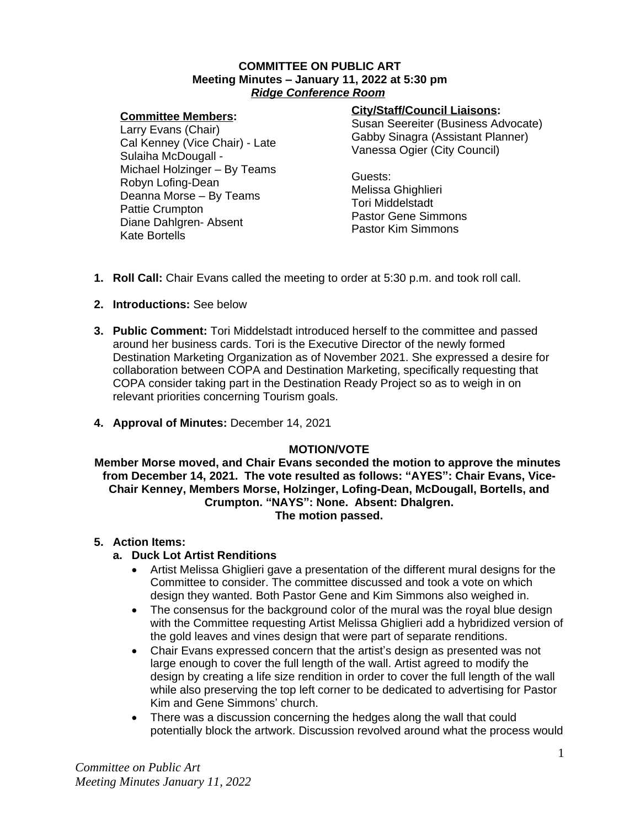## **COMMITTEE ON PUBLIC ART Meeting Minutes – January 11, 2022 at 5:30 pm** *Ridge Conference Room*

# **Committee Members:**

Larry Evans (Chair) Cal Kenney (Vice Chair) - Late Sulaiha McDougall - Michael Holzinger – By Teams Robyn Lofing-Dean Deanna Morse – By Teams Pattie Crumpton Diane Dahlgren- Absent Kate Bortells

# **City/Staff/Council Liaisons:**

Susan Seereiter (Business Advocate) Gabby Sinagra (Assistant Planner) Vanessa Ogier (City Council)

Guests: Melissa Ghighlieri Tori Middelstadt Pastor Gene Simmons Pastor Kim Simmons

- **1. Roll Call:** Chair Evans called the meeting to order at 5:30 p.m. and took roll call.
- **2. Introductions:** See below
- **3. Public Comment:** Tori Middelstadt introduced herself to the committee and passed around her business cards. Tori is the Executive Director of the newly formed Destination Marketing Organization as of November 2021. She expressed a desire for collaboration between COPA and Destination Marketing, specifically requesting that COPA consider taking part in the Destination Ready Project so as to weigh in on relevant priorities concerning Tourism goals.
- **4. Approval of Minutes:** December 14, 2021

# **MOTION/VOTE**

**Member Morse moved, and Chair Evans seconded the motion to approve the minutes from December 14, 2021. The vote resulted as follows: "AYES": Chair Evans, Vice-Chair Kenney, Members Morse, Holzinger, Lofing-Dean, McDougall, Bortells, and Crumpton. "NAYS": None. Absent: Dhalgren. The motion passed.**

# **5. Action Items:**

# **a. Duck Lot Artist Renditions**

- Artist Melissa Ghiglieri gave a presentation of the different mural designs for the Committee to consider. The committee discussed and took a vote on which design they wanted. Both Pastor Gene and Kim Simmons also weighed in.
- The consensus for the background color of the mural was the royal blue design with the Committee requesting Artist Melissa Ghiglieri add a hybridized version of the gold leaves and vines design that were part of separate renditions.
- Chair Evans expressed concern that the artist's design as presented was not large enough to cover the full length of the wall. Artist agreed to modify the design by creating a life size rendition in order to cover the full length of the wall while also preserving the top left corner to be dedicated to advertising for Pastor Kim and Gene Simmons' church.
- There was a discussion concerning the hedges along the wall that could potentially block the artwork. Discussion revolved around what the process would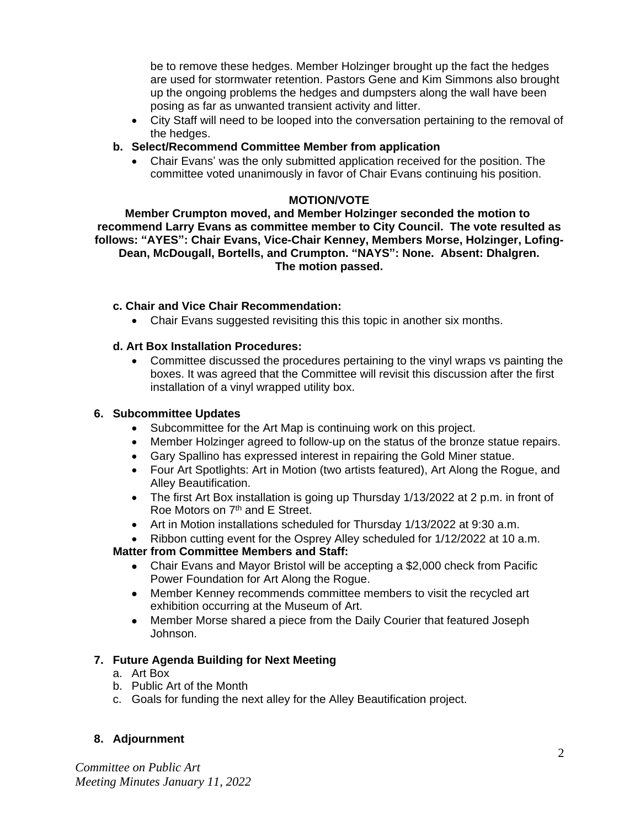be to remove these hedges. Member Holzinger brought up the fact the hedges are used for stormwater retention. Pastors Gene and Kim Simmons also brought up the ongoing problems the hedges and dumpsters along the wall have been posing as far as unwanted transient activity and litter.

 City Staff will need to be looped into the conversation pertaining to the removal of the hedges.

# **b. Select/Recommend Committee Member from application**

 Chair Evans' was the only submitted application received for the position. The committee voted unanimously in favor of Chair Evans continuing his position.

# **MOTION/VOTE**

**Member Crumpton moved, and Member Holzinger seconded the motion to recommend Larry Evans as committee member to City Council. The vote resulted as follows: "AYES": Chair Evans, Vice-Chair Kenney, Members Morse, Holzinger, Lofing-Dean, McDougall, Bortells, and Crumpton. "NAYS": None. Absent: Dhalgren. The motion passed.**

# **c. Chair and Vice Chair Recommendation:**

• Chair Evans suggested revisiting this this topic in another six months.

# **d. Art Box Installation Procedures:**

 Committee discussed the procedures pertaining to the vinyl wraps vs painting the boxes. It was agreed that the Committee will revisit this discussion after the first installation of a vinyl wrapped utility box.

# **6. Subcommittee Updates**

- Subcommittee for the Art Map is continuing work on this project.
- Member Holzinger agreed to follow-up on the status of the bronze statue repairs.
- Gary Spallino has expressed interest in repairing the Gold Miner statue.
- Four Art Spotlights: Art in Motion (two artists featured), Art Along the Rogue, and Alley Beautification.
- The first Art Box installation is going up Thursday 1/13/2022 at 2 p.m. in front of Roe Motors on 7<sup>th</sup> and E Street.
- Art in Motion installations scheduled for Thursday 1/13/2022 at 9:30 a.m.
- Ribbon cutting event for the Osprey Alley scheduled for 1/12/2022 at 10 a.m.

# **Matter from Committee Members and Staff:**

- Chair Evans and Mayor Bristol will be accepting a \$2,000 check from Pacific Power Foundation for Art Along the Rogue.
- Member Kenney recommends committee members to visit the recycled art exhibition occurring at the Museum of Art.
- Member Morse shared a piece from the Daily Courier that featured Joseph Johnson.

# **7. Future Agenda Building for Next Meeting**

- a. Art Box
- b. Public Art of the Month
- c. Goals for funding the next alley for the Alley Beautification project.

# **8. Adjournment**

*Committee on Public Art Meeting Minutes January 11, 2022*